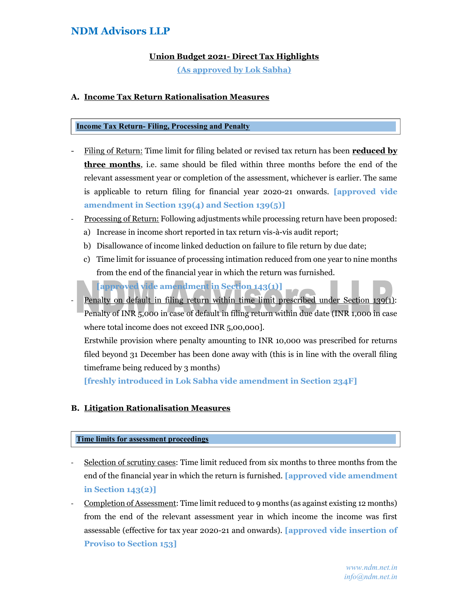# Union Budget 2021- Direct Tax Highlights

(As approved by Lok Sabha)

# A. Income Tax Return Rationalisation Measures

## Income Tax Return- Filing, Processing and Penalty

- Filing of Return: Time limit for filing belated or revised tax return has been **reduced by** three months, i.e. same should be filed within three months before the end of the relevant assessment year or completion of the assessment, whichever is earlier. The same is applicable to return filing for financial year 2020-21 onwards. [approved vide amendment in Section 139(4) and Section 139(5)]
- Processing of Return: Following adjustments while processing return have been proposed:
	- a) Increase in income short reported in tax return vis-à-vis audit report;
	- b) Disallowance of income linked deduction on failure to file return by due date;
	- c) Time limit for issuance of processing intimation reduced from one year to nine months from the end of the financial year in which the return was furnished.
		- [approved vide amendment in Section 143(1)]
- Penalty on default in filing return within time limit prescribed under Section 139(1): Penalty of INR 5,000 in case of default in filing return within due date (INR 1,000 in case where total income does not exceed INR 5,00,000].

Erstwhile provision where penalty amounting to INR 10,000 was prescribed for returns filed beyond 31 December has been done away with (this is in line with the overall filing timeframe being reduced by 3 months)

[freshly introduced in Lok Sabha vide amendment in Section 234F]

# B. Litigation Rationalisation Measures

## Time limits for assessment proceedings

- Selection of scrutiny cases: Time limit reduced from six months to three months from the end of the financial year in which the return is furnished. **[approved vide amendment** in Section 143(2)]
- Completion of Assessment: Time limit reduced to 9 months (as against existing 12 months) from the end of the relevant assessment year in which income the income was first assessable (effective for tax year 2020-21 and onwards). [approved vide insertion of Proviso to Section 153]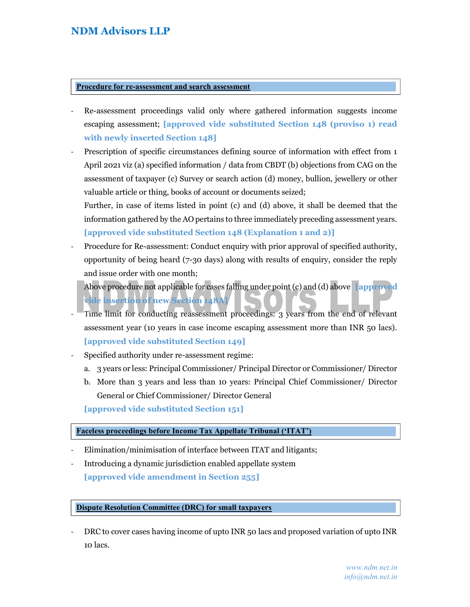#### Procedure for re-assessment and search assessment

- Re-assessment proceedings valid only where gathered information suggests income escaping assessment; [approved vide substituted Section 148 (proviso 1) read with newly inserted Section 148]
- Prescription of specific circumstances defining source of information with effect from 1 April 2021 viz (a) specified information / data from CBDT (b) objections from CAG on the assessment of taxpayer (c) Survey or search action (d) money, bullion, jewellery or other valuable article or thing, books of account or documents seized;

Further, in case of items listed in point (c) and (d) above, it shall be deemed that the information gathered by the AO pertains to three immediately preceding assessment years. [approved vide substituted Section 148 (Explanation 1 and 2)]

- Procedure for Re-assessment: Conduct enquiry with prior approval of specified authority, opportunity of being heard (7-30 days) along with results of enquiry, consider the reply and issue order with one month;
	- Above procedure not applicable for cases falling under point  $(c)$  and  $(d)$  above  $\sqrt{p\cdot q}$ vide insertion of new Section 148A]
- Time limit for conducting reassessment proceedings: 3 years from the end of relevant assessment year (10 years in case income escaping assessment more than INR 50 lacs). [approved vide substituted Section 149]
- Specified authority under re-assessment regime:
	- a. 3 years or less: Principal Commissioner/ Principal Director or Commissioner/ Director
	- b. More than 3 years and less than 10 years: Principal Chief Commissioner/ Director General or Chief Commissioner/ Director General

[approved vide substituted Section 151]

## Faceless proceedings before Income Tax Appellate Tribunal ('ITAT')

- Elimination/minimisation of interface between ITAT and litigants;
- Introducing a dynamic jurisdiction enabled appellate system [approved vide amendment in Section 255]

#### Dispute Resolution Committee (DRC) for small taxpayers

- DRC to cover cases having income of upto INR 50 lacs and proposed variation of upto INR 10 lacs.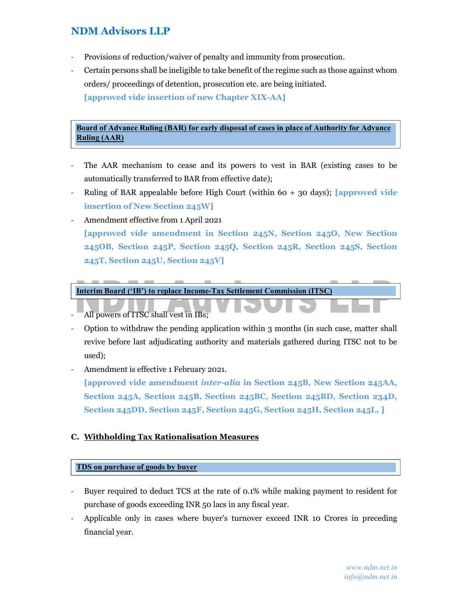- Provisions of reduction/waiver of penalty and immunity from prosecution.
- Certain persons shall be ineligible to take benefit of the regime such as those against whom orders/ proceedings of detention, prosecution etc. are being initiated. [approved vide insertion of new Chapter XIX-AA]

# Board of Advance Ruling (BAR) for early disposal of cases in place of Authority for Advance Ruling (AAR)

- The AAR mechanism to cease and its powers to vest in BAR (existing cases to be automatically transferred to BAR from effective date);
- Ruling of BAR appealable before High Court (within  $60 + 30$  days); [approved vide insertion of New Section 245W]
- Amendment effective from 1 April 2021 [approved vide amendment in Section 245N, Section 245O, New Section 245OB, Section 245P, Section 245Q, Section 245R, Section 245S, Section 245T, Section 245U, Section 245V]

#### Interim Board ('IB') to replace Income-Tax Settlement Commission (ITSC)

- All powers of ITSC shall vest in IBs;
- Option to withdraw the pending application within 3 months (in such case, matter shall revive before last adjudicating authority and materials gathered during ITSC not to be used);
- Amendment is effective 1 February 2021.

[approved vide amendment inter-alia in Section 245B, New Section 245AA, Section 245A, Section 245B, Section 245BC, Section 245BD, Section 234D, Section 245DD, Section 245F, Section 245G, Section 245H, Section 245L, ]

## C. Withholding Tax Rationalisation Measures

#### TDS on purchase of goods by buyer

- Buyer required to deduct TCS at the rate of 0.1% while making payment to resident for purchase of goods exceeding INR 50 lacs in any fiscal year.
- Applicable only in cases where buyer's turnover exceed INR 10 Crores in preceding financial year.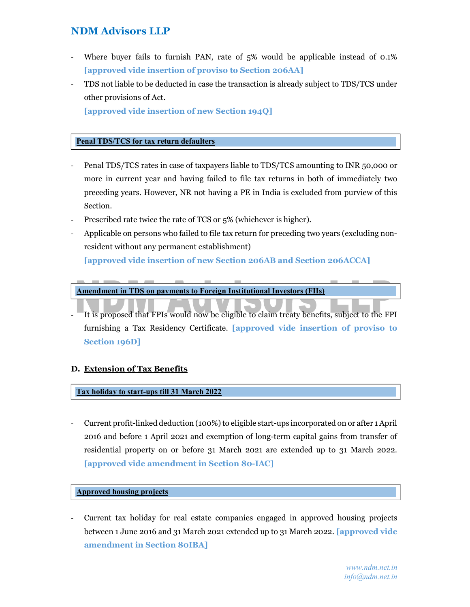- Where buyer fails to furnish PAN, rate of 5% would be applicable instead of 0.1% [approved vide insertion of proviso to Section 206AA]
- TDS not liable to be deducted in case the transaction is already subject to TDS/TCS under other provisions of Act.

[approved vide insertion of new Section 194Q]

## Penal TDS/TCS for tax return defaulters

- Penal TDS/TCS rates in case of taxpayers liable to TDS/TCS amounting to INR 50,000 or more in current year and having failed to file tax returns in both of immediately two preceding years. However, NR not having a PE in India is excluded from purview of this Section.
- Prescribed rate twice the rate of TCS or 5% (whichever is higher).
- Applicable on persons who failed to file tax return for preceding two years (excluding nonresident without any permanent establishment)

[approved vide insertion of new Section 206AB and Section 206ACCA]

#### Amendment in TDS on payments to Foreign Institutional Investors (FIIs)

It is proposed that FPIs would now be eligible to claim treaty benefits, subject to the FPI furnishing a Tax Residency Certificate. **[approved vide insertion of proviso to** Section 196D]

#### D. Extension of Tax Benefits

## Tax holiday to start-ups till 31 March 2022

- Current profit-linked deduction (100%) to eligible start-ups incorporated on or after 1 April 2016 and before 1 April 2021 and exemption of long-term capital gains from transfer of residential property on or before 31 March 2021 are extended up to 31 March 2022. [approved vide amendment in Section 80-IAC]

#### Approved housing projects

- Current tax holiday for real estate companies engaged in approved housing projects between 1 June 2016 and 31 March 2021 extended up to 31 March 2022. [approved vide amendment in Section 80IBA]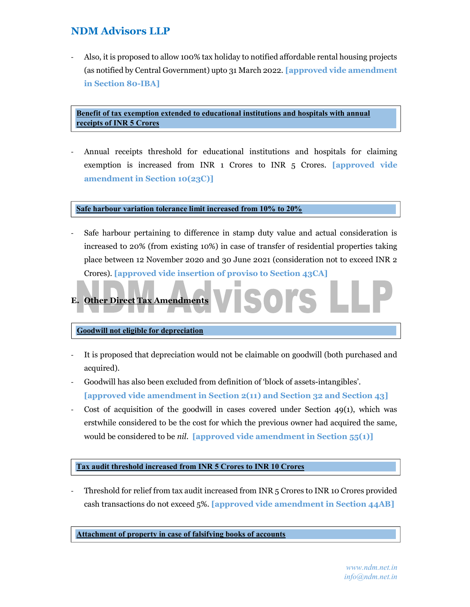- Also, it is proposed to allow 100% tax holiday to notified affordable rental housing projects (as notified by Central Government) upto 31 March 2022. [approved vide amendment in Section 80-IBA]

Benefit of tax exemption extended to educational institutions and hospitals with annual receipts of INR 5 Crores

- Annual receipts threshold for educational institutions and hospitals for claiming exemption is increased from INR 1 Crores to INR 5 Crores. [approved vide amendment in Section 10(23C)]

Safe harbour variation tolerance limit increased from 10% to 20%

Safe harbour pertaining to difference in stamp duty value and actual consideration is increased to 20% (from existing 10%) in case of transfer of residential properties taking place between 12 November 2020 and 30 June 2021 (consideration not to exceed INR 2 Crores). [approved vide insertion of proviso to Section 43CA]

E. Other Direct Tax Amendments

#### Goodwill not eligible for depreciation

- It is proposed that depreciation would not be claimable on goodwill (both purchased and acquired).
- Goodwill has also been excluded from definition of 'block of assets-intangibles'. [approved vide amendment in Section 2(11) and Section 32 and Section 43]
- Cost of acquisition of the goodwill in cases covered under Section 49(1), which was erstwhile considered to be the cost for which the previous owner had acquired the same, would be considered to be nil. [approved vide amendment in Section  $55(1)$ ]

Tax audit threshold increased from INR 5 Crores to INR 10 Crores

Threshold for relief from tax audit increased from INR 5 Crores to INR 10 Crores provided cash transactions do not exceed 5%. [approved vide amendment in Section 44AB]

Attachment of property in case of falsifying books of accounts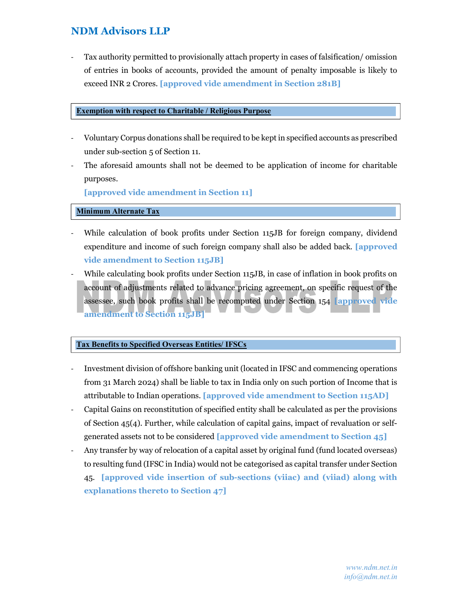Tax authority permitted to provisionally attach property in cases of falsification/omission of entries in books of accounts, provided the amount of penalty imposable is likely to exceed INR 2 Crores. [approved vide amendment in Section 281B]

## Exemption with respect to Charitable / Religious Purpose

- Voluntary Corpus donations shall be required to be kept in specified accounts as prescribed under sub-section 5 of Section 11.
- The aforesaid amounts shall not be deemed to be application of income for charitable purposes.

[approved vide amendment in Section 11]

## Minimum Alternate Tax

- While calculation of book profits under Section 115JB for foreign company, dividend expenditure and income of such foreign company shall also be added back. [approved vide amendment to Section 115JB]
- While calculating book profits under Section 115JB, in case of inflation in book profits on account of adjustments related to advance pricing agreement, on specific request of the assessee, such book profits shall be recomputed under Section 154 approved vide amendment to Section 115JB]

## Tax Benefits to Specified Overseas Entities/ IFSCs

- Investment division of offshore banking unit (located in IFSC and commencing operations from 31 March 2024) shall be liable to tax in India only on such portion of Income that is attributable to Indian operations. [approved vide amendment to Section 115AD]
- Capital Gains on reconstitution of specified entity shall be calculated as per the provisions of Section 45(4). Further, while calculation of capital gains, impact of revaluation or selfgenerated assets not to be considered [approved vide amendment to Section 45]
- Any transfer by way of relocation of a capital asset by original fund (fund located overseas) to resulting fund (IFSC in India) would not be categorised as capital transfer under Section 45. [approved vide insertion of sub-sections (viiac) and (viiad) along with explanations thereto to Section 47]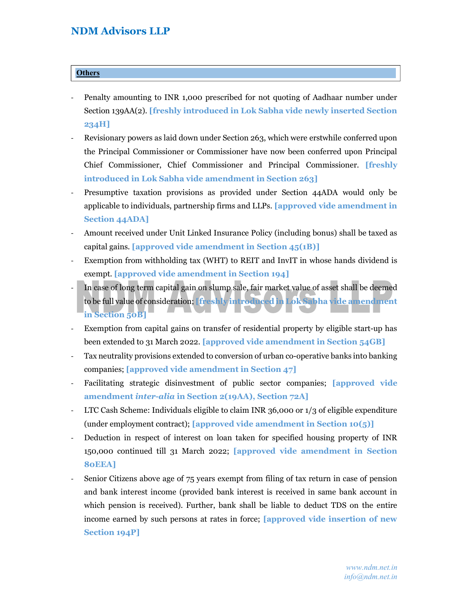#### **Others**

- Penalty amounting to INR 1,000 prescribed for not quoting of Aadhaar number under Section 139AA(2). [freshly introduced in Lok Sabha vide newly inserted Section 234H]
- Revisionary powers as laid down under Section 263, which were erstwhile conferred upon the Principal Commissioner or Commissioner have now been conferred upon Principal Chief Commissioner, Chief Commissioner and Principal Commissioner. [freshly introduced in Lok Sabha vide amendment in Section 263]
- Presumptive taxation provisions as provided under Section 44ADA would only be applicable to individuals, partnership firms and LLPs. [approved vide amendment in Section 44ADA]
- Amount received under Unit Linked Insurance Policy (including bonus) shall be taxed as capital gains. [approved vide amendment in Section 45(1B)]
- Exemption from withholding tax (WHT) to REIT and InvIT in whose hands dividend is exempt. [approved vide amendment in Section 194]
- In case of long term capital gain on slump sale, fair market value of asset shall be deemed to be full value of consideration; [freshly introduced in Lok Sabha vide amendment in Section 50B]
- Exemption from capital gains on transfer of residential property by eligible start-up has been extended to 31 March 2022. [approved vide amendment in Section 54GB]
- Tax neutrality provisions extended to conversion of urban co-operative banks into banking companies; [approved vide amendment in Section 47]
- Facilitating strategic disinvestment of public sector companies; [approved vide amendment inter-alia in Section 2(19AA), Section 72A]
- LTC Cash Scheme: Individuals eligible to claim INR 36,000 or 1/3 of eligible expenditure (under employment contract); [approved vide amendment in Section 10(5)]
- Deduction in respect of interest on loan taken for specified housing property of INR 150,000 continued till 31 March 2022; [approved vide amendment in Section 80EEA]
- Senior Citizens above age of 75 years exempt from filing of tax return in case of pension and bank interest income (provided bank interest is received in same bank account in which pension is received). Further, bank shall be liable to deduct TDS on the entire income earned by such persons at rates in force; [approved vide insertion of new Section 194P]